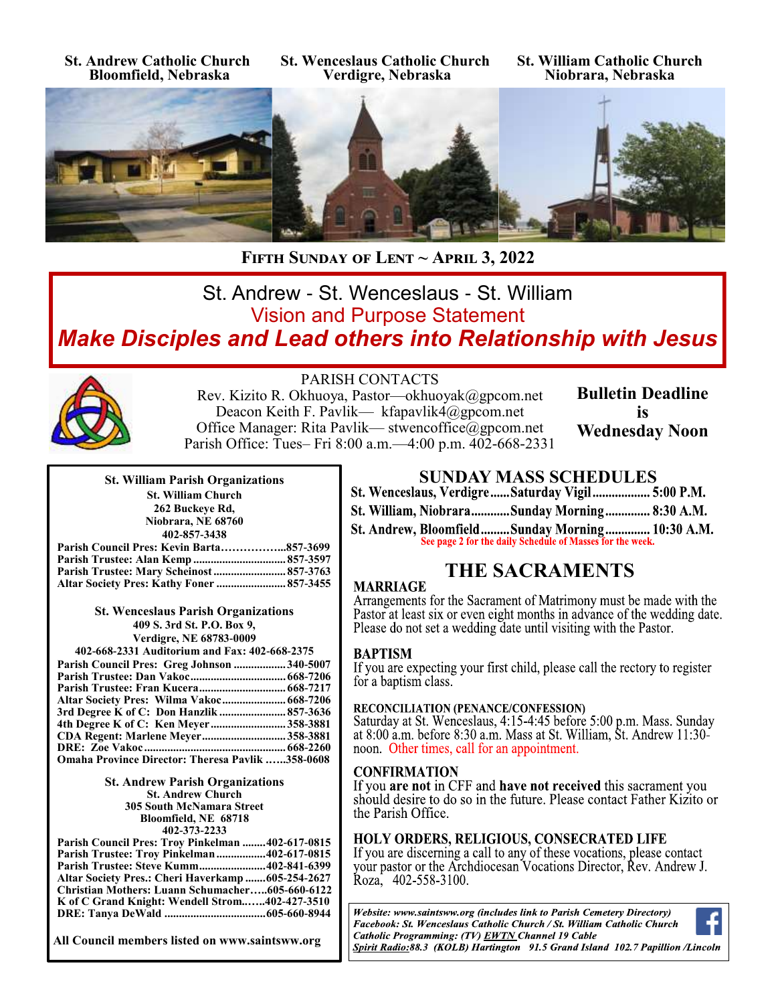**St. Andrew Catholic Church Bloomfield, Nebraska**

**St. Wenceslaus Catholic Church Verdigre, Nebraska**

**St. William Catholic Church Niobrara, Nebraska**



**Fifth Sunday of Lent ~ April 3, 2022** 

# St. Andrew - St. Wenceslaus - St. William Vision and Purpose Statement *Make Disciples and Lead others into Relationship with Jesus*



# PARISH CONTACTS

Rev. Kizito R. Okhuoya, Pastor—okhuoyak@gpcom.net Deacon Keith F. Pavlik— kfapavlik4@gpcom.net Office Manager: Rita Pavlik— stwencoffice@gpcom.net Parish Office: Tues– Fri 8:00 a.m.—4:00 p.m. 402-668-2331 **Bulletin Deadline is Wednesday Noon**

| <b>St. William Parish Organizations</b>      |       |
|----------------------------------------------|-------|
| <b>St. William Church</b>                    |       |
| 262 Buckeye Rd.                              |       |
| Niobrara, NE 68760                           |       |
| 402-857-3438                                 |       |
| $C_{\text{current}}$ : Decay $V$ and a Decay | 0.572 |

| Parish Council Pres: Kevin Barta857-3699 |  |
|------------------------------------------|--|
|                                          |  |
| Parish Trustee: Mary Scheinost  857-3763 |  |
|                                          |  |

**St. Wenceslaus Parish Organizations 409 S. 3rd St. P.O. Box 9, Verdigre, NE 68783-0009**

| 402-668-2331 Auditorium and Fax: 402-668-2375           |  |  |
|---------------------------------------------------------|--|--|
| Parish Council Pres: Greg Johnson 340-5007              |  |  |
|                                                         |  |  |
|                                                         |  |  |
|                                                         |  |  |
| 3rd Degree K of C: Don Hanzlik  857-3636                |  |  |
| 4th Degree K of C: Ken Meyer 358-3881                   |  |  |
| <b>CDA Regent: Marlene Meyer358-3881</b>                |  |  |
|                                                         |  |  |
| <b>Omaha Province Director: Theresa Pavlik 358-0608</b> |  |  |

**St. Andrew Parish Organizations St. Andrew Church 305 South McNamara Street Bloomfield, NE 68718 402-373-2233**

| Parish Council Pres: Troy Pinkelman 402-617-0815  |  |
|---------------------------------------------------|--|
| <b>Parish Trustee: Troy Pinkelman402-617-0815</b> |  |
| Parish Trustee: Steve Kumm402-841-6399            |  |
| Altar Society Pres.: Cheri Haverkamp 605-254-2627 |  |
| Christian Mothers: Luann Schumacher605-660-6122   |  |
| K of C Grand Knight: Wendell Strom402-427-3510    |  |
|                                                   |  |

**All Council members listed on www.saintsww.org**

**SUNDAY MASS SCHEDULES**<br>St. Wenceslaus, Verdigre......Saturday Vigil................... 5:00 P.M.

- St. William, Niobrara............Sunday Morning............... 8:30 A.M.
- St. Andrew, Bloomfield.........Sunday Morning............... 10:30 A.M. See page 2 for the daily Schedule of Masses for the week.

# **THE SACRAMENTS**

### **MARRIAGE**

Arrangements for the Sacrament of Matrimony must be made with the Pastor at least six or even eight months in advance of the wedding date. Please do not set a wedding date until visiting with the Pastor.

# **BAPTISM**

If you are expecting your first child, please call the rectory to register for a baptism class.

# **RECONCILIATION (PENANCE/CONFESSION)**

Saturday at St. Wenceslaus, 4:15-4:45 before 5:00 p.m. Mass. Sunday at 8:00 a.m. before 8:30 a.m. Mass at St. William, St. Andrew  $11:30$ noon. Other times, call for an appointment.

# **CONFIRMATION**

If you are not in CFF and have not received this sacrament you should desire to do so in the future. Please contact Father Kizito or the Parish Office.

# **HOLY ORDERS, RELIGIOUS, CONSECRATED LIFE**

If you are discerning a call to any of these vocations, please contact your pastor or the Archdiocesan Vocations Director, Rev. Andrew J. Roza, 402-558-3100.

Website: www.saintsww.org (includes link to Parish Cemetery Directory) Facebook: St. Wenceslaus Catholic Church / St. William Catholic Church Catholic Programming: (TV) EWTN Channel 19 Cable Spirit Radio:88.3 (KOLB) Hartington 91.5 Grand Island 102.7 Papillion /Lincoln

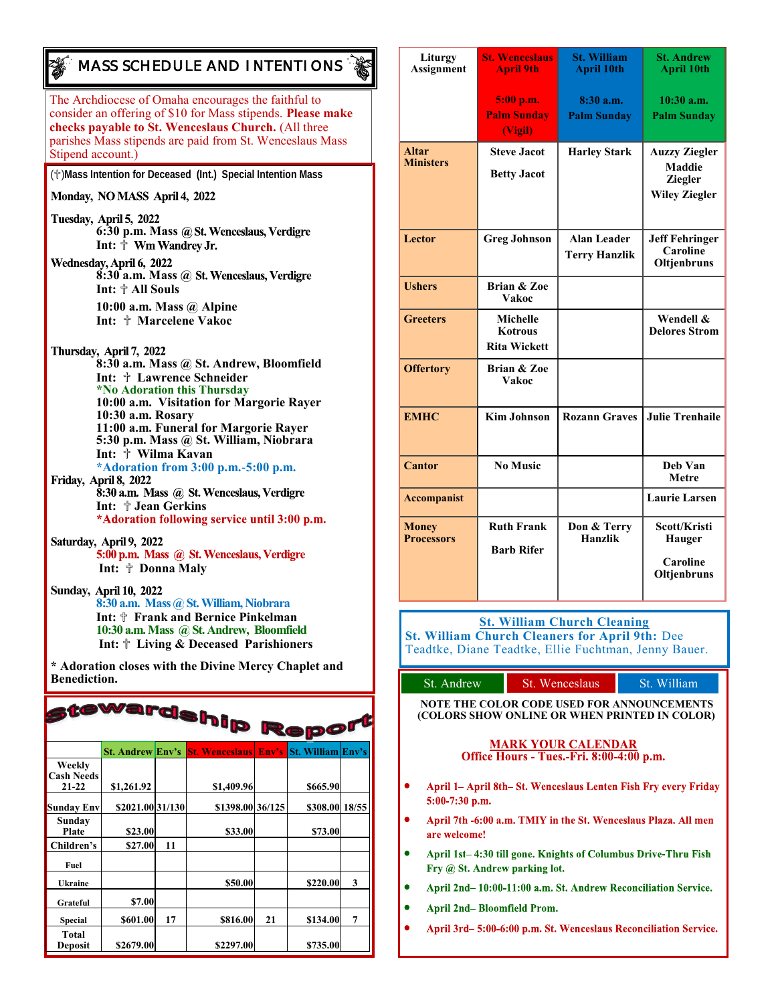# The Archdiocese of Omaha encourages the faithful to *MASS SCHEDULE AND INTENTIONS*

consider an offering of \$10 for Mass stipends. **Please make checks payable to St. Wenceslaus Church.** (All three parishes Mass stipends are paid from St. Wenceslaus Mass Stipend account.)

(✞)**Mass Intention for Deceased (Int.) Special Intention Mass**

#### Monday, NO MASS April 4, 2022

Tuesday, April 5, 2022 **6:30 p.m. Mass**  Int:  $\stackrel{\scriptscriptstyle\bullet}{\uparrow}$  Wm Wandrey Jr.

Wednesday, April 6, 2022<br>**8:30 a.m. Mass @ St. Wenceslaus, Verdigre Int:** ✞ **All Souls 10:00 a.m. Mass @ Alpine Int:** ✞ **Marcelene Vakoc**

Thursday, April 7, 2022

**8:30 a.m. Mass @ St. Andrew, Bloomfield Int:** ✞ **Lawrence Schneider \*No Adoration this Thursday 10:00 a.m. Visitation for Margorie Rayer 10:30 a.m. Rosary 11:00 a.m. Funeral for Margorie Rayer 5:30 p.m. Mass @ St. William, Niobrara Int:** ✞ **Wilma Kavan \*Adoration from 3:00 p.m.-5:00 p.m.** 8:30 a.m. Mass @ St. Wenceslaus, Verdigre

**Int:**  $\frac{A}{A}$  **Jean Gerkins**<br>\*Adoration following service until 3:00 p.m.

Saturday, April 9, 2022 5:00 p.m. Mass @ St. Wenceslaus, Verdigre **Int:** ✞ **Donna Maly**

**Sunday, 8:30 a.m. Mass @St. William, Niobrara Int:** ✞ **Frank and Bernice Pinkelman 10:30 a.m. Mass @St. Andrew, Bloomfield Int:** ✞ **Living & Deceased Parishioners**

**\* Adoration closes with the Divine Mercy Chaplet and Benediction.** 

| stewardship Report                       |                         |    |                       |       |                          |   |
|------------------------------------------|-------------------------|----|-----------------------|-------|--------------------------|---|
|                                          | <b>St. Andrew Env's</b> |    | <b>St. Wenceslaus</b> | Env's | <b>St. William Env's</b> |   |
| Weekly<br><b>Cash Needs</b><br>$21 - 22$ | \$1,261.92              |    | \$1,409.96            |       | \$665.90                 |   |
|                                          |                         |    |                       |       |                          |   |
| <b>Sunday Env</b>                        | \$2021.00 31/130        |    | \$1398.00 36/125      |       | \$308.00 18/55           |   |
| Sunday<br>Plate                          | \$23.00                 |    | \$33.00               |       | \$73.00                  |   |
| Children's                               | \$27.00                 | 11 |                       |       |                          |   |
| Fuel                                     |                         |    |                       |       |                          |   |
| <b>Ukraine</b>                           |                         |    | \$50.00               |       | \$220.00                 | 3 |
| Grateful                                 | \$7.00                  |    |                       |       |                          |   |
| Special                                  | \$601.00                | 17 | \$816.00              | 21    | \$134.00                 | 7 |
| Total<br><b>Deposit</b>                  | \$2679.00               |    | \$2297.00             |       | \$735.00                 |   |

| Liturgy<br><b>Assignment</b>      | <b>St. Wenceslaus</b><br><b>April 9th</b>         | <b>St. William</b><br><b>April 10th</b>    | <b>St. Andrew</b><br><b>April 10th</b>                                          |
|-----------------------------------|---------------------------------------------------|--------------------------------------------|---------------------------------------------------------------------------------|
|                                   | 5:00 p.m.<br><b>Palm Sunday</b><br>(Vigil)        | 8:30a.m.<br><b>Palm Sunday</b>             | $10:30$ a.m.<br><b>Palm Sunday</b>                                              |
| <b>Altar</b><br><b>Ministers</b>  | <b>Steve Jacot</b><br><b>Betty Jacot</b>          | <b>Harley Stark</b>                        | <b>Auzzy Ziegler</b><br><b>Maddie</b><br><b>Ziegler</b><br><b>Wiley Ziegler</b> |
| Lector                            | <b>Greg Johnson</b>                               | <b>Alan Leader</b><br><b>Terry Hanzlik</b> | <b>Jeff Fehringer</b><br>Caroline<br>Oltjenbruns                                |
| <b>Ushers</b>                     | <b>Brian &amp; Zoe</b><br><b>Vakoc</b>            |                                            |                                                                                 |
| <b>Greeters</b>                   | Michelle<br><b>Kotrous</b><br><b>Rita Wickett</b> |                                            | Wendell &<br><b>Delores Strom</b>                                               |
| <b>Offertory</b>                  | <b>Brian &amp; Zoe</b><br>Vakoc                   |                                            |                                                                                 |
| <b>EMHC</b>                       | <b>Kim Johnson</b>                                | <b>Rozann Graves</b>                       | <b>Julie Trenhaile</b>                                                          |
| <b>Cantor</b>                     | <b>No Music</b>                                   |                                            | Deb Van<br><b>Metre</b>                                                         |
| <b>Accompanist</b>                |                                                   |                                            | <b>Laurie Larsen</b>                                                            |
| <b>Money</b><br><b>Processors</b> | <b>Ruth Frank</b><br><b>Barb Rifer</b>            | Don & Terry<br>Hanzlik                     | Scott/Kristi<br>Hauger<br>Caroline<br>Oltjenbruns                               |

**St. William Church Cleaning St. William Church Cleaners for April 9th:** Dee

Teadtke, Diane Teadtke, Ellie Fuchtman, Jenny Bauer.

| St. Andrew                    | St. Wenceslaus                                                                                     | St. William |
|-------------------------------|----------------------------------------------------------------------------------------------------|-------------|
|                               | <b>NOTE THE COLOR CODE USED FOR ANNOUNCEMENTS</b><br>(COLORS SHOW ONLINE OR WHEN PRINTED IN COLOR) |             |
|                               | <b>MARK YOUR CALENDAR</b><br>Office Hours - Tues.-Fri. 8:00-4:00 p.m.                              |             |
| $5:00-7:30$ p.m.              | April 1– April 8th–St. Wenceslaus Lenten Fish Fry every Friday                                     |             |
| are welcome!                  | April 7th -6:00 a.m. TMIY in the St. Wenceslaus Plaza. All men                                     |             |
| Fry @ St. Andrew parking lot. | April 1st–4:30 till gone. Knights of Columbus Drive-Thru Fish                                      |             |

- April 2nd-10:00-11:00 a.m. St. Andrew Reconciliation Service.
- **April 2nd-Bloomfield Prom.**
- April 3rd-5:00-6:00 p.m. St. Wenceslaus Reconciliation Service.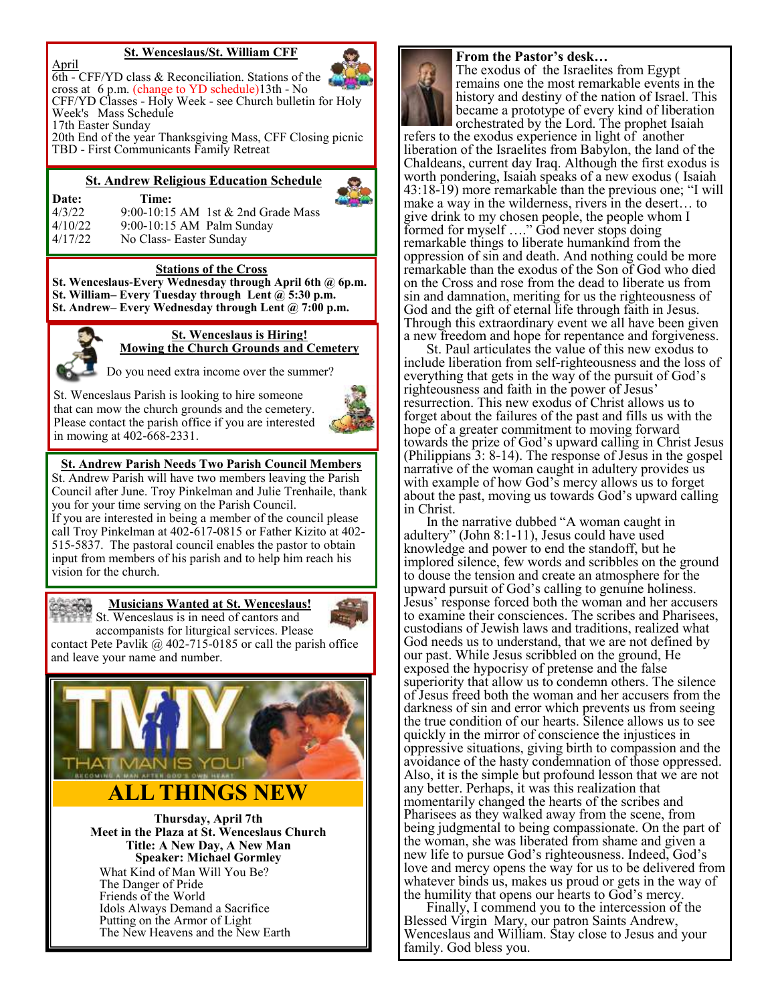#### **St. Wenceslaus/St. William CFF**



20th End of the year Thanksgiving Mass, CFF Closing picnic TBD - First Communicants Family Retreat

#### **St. Andrew Religious Education Schedule**



**Date: Time:** 4/3/22 9:00-10:15 AM 1st & 2nd Grade Mass

4/10/22 9:00-10:15 AM Palm Sunday 4/17/22 No Class- Easter Sunday

# **Stations of the Cross**

**St. Wenceslaus-Every Wednesday through April 6th @ 6p.m. St. William– Every Tuesday through Lent @ 5:30 p.m. St. Andrew– Every Wednesday through Lent @ 7:00 p.m.**



**St. Wenceslaus is Hiring! Mowing the Church Grounds and Cemetery**

Do you need extra income over the summer?

St. Wenceslaus Parish is looking to hire someone that can mow the church grounds and the cemetery. Please contact the parish office if you are interested in mowing at 402-668-2331.



#### **St. Andrew Parish Needs Two Parish Council Members**

St. Andrew Parish will have two members leaving the Parish Council after June. Troy Pinkelman and Julie Trenhaile, thank you for your time serving on the Parish Council. If you are interested in being a member of the council please call Troy Pinkelman at 402-617-0815 or Father Kizito at 402- 515-5837. The pastoral council enables the pastor to obtain input from members of his parish and to help him reach his vision for the church.



#### **Musicians Wanted at St. Wenceslaus!**



St. Wenceslaus is in need of cantors and accompanists for liturgical services. Please contact Pete Pavlik  $\omega$  402-715-0185 or call the parish office and leave your name and number.



**Thursday, April 7th Meet in the Plaza at St. Wenceslaus Church Title: A New Day, A New Man Speaker: Michael Gormley** What Kind of Man Will You Be? The Danger of Pride Friends of the World Idols Always Demand a Sacrifice Putting on the Armor of Light The New Heavens and the New Earth

#### **From the Pastor's desk…**

The exodus of the Israelites from Egypt remains one the most remarkable events in the history and destiny of the nation of Israel. This became a prototype of every kind of liberation orchestrated by the Lord. The prophet Isaiah

refers to the exodus experience in light of another liberation of the Israelites from Babylon, the land of the Chaldeans, current day Iraq. Although the first exodus is worth pondering, Isaiah speaks of a new exodus ( Isaiah 43:18-19) more remarkable than the previous one; "I will make a way in the wilderness, rivers in the desert… to give drink to my chosen people, the people whom I formed for myself …." God never stops doing remarkable things to liberate humankind from the oppression of sin and death. And nothing could be more remarkable than the exodus of the Son of God who died on the Cross and rose from the dead to liberate us from sin and damnation, meriting for us the righteousness of God and the gift of eternal life through faith in Jesus. Through this extraordinary event we all have been given a new freedom and hope for repentance and forgiveness.

St. Paul articulates the value of this new exodus to include liberation from self-righteousness and the loss of everything that gets in the way of the pursuit of God's righteousness and faith in the power of Jesus' resurrection. This new exodus of Christ allows us to forget about the failures of the past and fills us with the hope of a greater commitment to moving forward towards the prize of God's upward calling in Christ Jesus (Philippians 3: 8-14). The response of Jesus in the gospel narrative of the woman caught in adultery provides us with example of how God's mercy allows us to forget about the past, moving us towards God's upward calling in Christ.

In the narrative dubbed "A woman caught in adultery" (John 8:1-11), Jesus could have used knowledge and power to end the standoff, but he implored silence, few words and scribbles on the ground to douse the tension and create an atmosphere for the upward pursuit of God's calling to genuine holiness. Jesus' response forced both the woman and her accusers to examine their consciences. The scribes and Pharisees, custodians of Jewish laws and traditions, realized what God needs us to understand, that we are not defined by our past. While Jesus scribbled on the ground, He exposed the hypocrisy of pretense and the false superiority that allow us to condemn others. The silence of Jesus freed both the woman and her accusers from the darkness of sin and error which prevents us from seeing the true condition of our hearts. Silence allows us to see quickly in the mirror of conscience the injustices in oppressive situations, giving birth to compassion and the avoidance of the hasty condemnation of those oppressed. Also, it is the simple but profound lesson that we are not any better. Perhaps, it was this realization that momentarily changed the hearts of the scribes and Pharisees as they walked away from the scene, from being judgmental to being compassionate. On the part of the woman, she was liberated from shame and given a new life to pursue God's righteousness. Indeed, God's love and mercy opens the way for us to be delivered from whatever binds us, makes us proud or gets in the way of the humility that opens our hearts to God's mercy.

Finally, I commend you to the intercession of the Blessed Virgin Mary, our patron Saints Andrew, Wenceslaus and William. Stay close to Jesus and your family. God bless you.